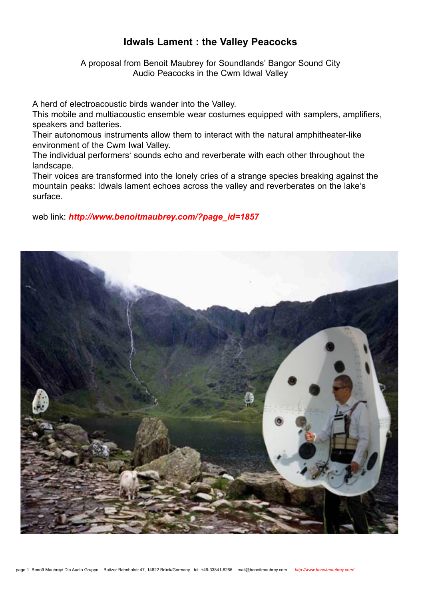# **Idwals Lament : the Valley Peacocks**

A proposal from Benoit Maubrey for Soundlands' Bangor Sound City Audio Peacocks in the Cwm Idwal Valley

A herd of electroacoustic birds wander into the Valley.

This mobile and multiacoustic ensemble wear costumes equipped with samplers, amplifiers, speakers and batteries.

Their autonomous instruments allow them to interact with the natural amphitheater-like environment of the Cwm Iwal Valley.

The individual performers' sounds echo and reverberate with each other throughout the landscape.

Their voices are transformed into the lonely cries of a strange species breaking against the mountain peaks: Idwals lament echoes across the valley and reverberates on the lake's surface.

web link: *http://www.benoitmaubrey.com/?page\_id=1857* 

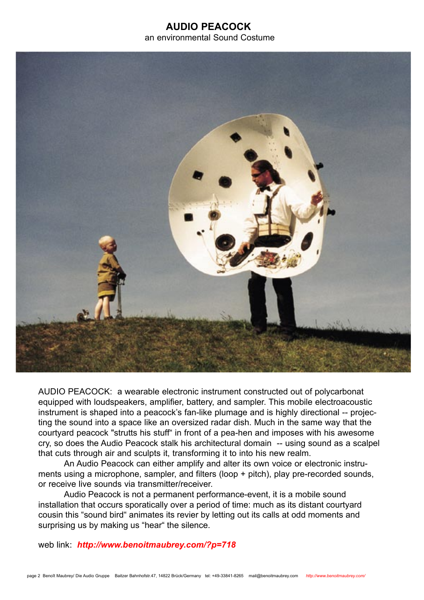## **AUDIO PEACOCK** an environmental Sound Costume



AUDIO PEACOCK: a wearable electronic instrument constructed out of polycarbonat equipped with loudspeakers, amplifier, battery, and sampler. This mobile electroacoustic instrument is shaped into a peacock's fan-like plumage and is highly directional -- projecting the sound into a space like an oversized radar dish. Much in the same way that the courtyard peacock "strutts his stuff" in front of a pea-hen and imposes with his awesome cry, so does the Audio Peacock stalk his architectural domain -- using sound as a scalpel that cuts through air and sculpts it, transforming it to into his new realm.

 An Audio Peacock can either amplify and alter its own voice or electronic instruments using a microphone, sampler, and filters (loop + pitch), play pre-recorded sounds, or receive live sounds via transmitter/receiver.

Audio Peacock is not a permanent performance-event, it is a mobile sound installation that occurs sporatically over a period of time: much as its distant courtyard cousin this "sound bird" animates its revier by letting out its calls at odd moments and surprising us by making us "hear" the silence.

web link: *http://www.benoitmaubrey.com/?p=718*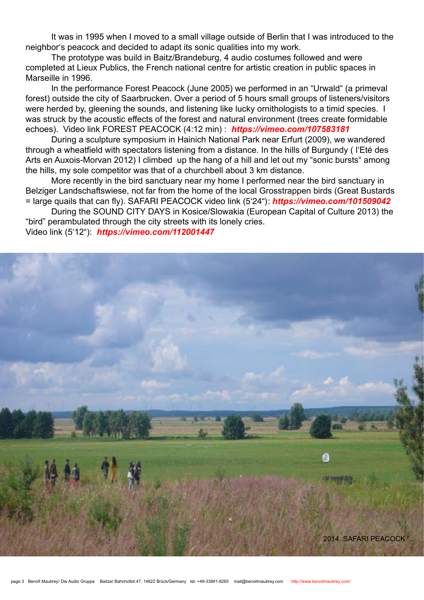It was in 1995 when I moved to a small village outside of Berlin that I was introduced to the neighbor's peacock and decided to adapt its sonic qualities into my work.

 The prototype was build in Baitz/Brandeburg, 4 audio costumes followed and were completed at Lieux Publics, the French national centre for artistic creation in public spaces in Marseille in 1996.

 In the performance Forest Peacock (June 2005) we performed in an "Urwald" (a primeval forest) outside the city of Saarbrucken. Over a period of 5 hours small groups of listeners/visitors were herded by, gleening the sounds, and listening like lucky ornithologists to a timid species. I was struck by the acoustic effects of the forest and natural environment (trees create formidable echoes). Video link FOREST PEACOCK (4:12 min) : *https://vimeo.com/107583181*

 During a sculpture symposium in Hainich National Park near Erfurt (2009), we wandered through a wheatfield with spectators listening from a distance. In the hills of Burgundy ( l'Eté des Arts en Auxois-Morvan 2012) I climbed up the hang of a hill and let out my "sonic bursts" among the hills, my sole competitor was that of a churchbell about 3 km distance.

 More recently in the bird sanctuary near my home I performed near the bird sanctuary in Belziger Landschaftswiese, not far from the home of the local Grosstrappen birds (Great Bustards = large quails that can fly). SAFARI PEACOCK video link (5'24"): *https://vimeo.com/101509042*

 During the SOUND CITY DAYS in Kosice/Slowakia (European Capital of Culture 2013) the "bird" perambulated through the city streets with its lonely cries.

Video link (5'12"): *https://vimeo.com/112001447*

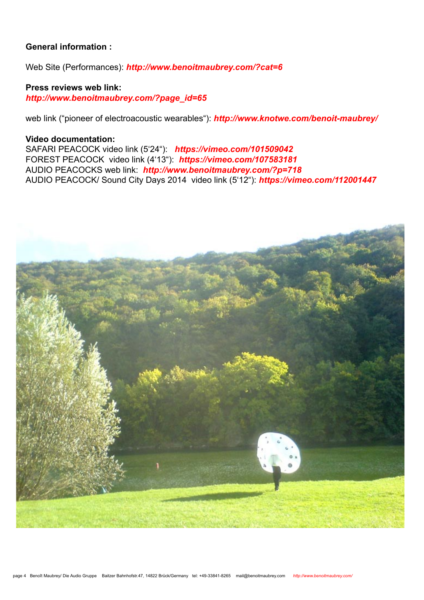## **General information :**

Web Site (Performances): *http://www.benoitmaubrey.com/?cat=6*

**Press reviews web link:**  *http://www.benoitmaubrey.com/?page\_id=65*

web link ("pioneer of electroacoustic wearables"): *http://www.knotwe.com/benoit-maubrey/* 

### **Video documentation:**

SAFARI PEACOCK video link (5'24"): *https://vimeo.com/101509042* FOREST PEACOCK video link (4'13"): *https://vimeo.com/107583181* AUDIO PEACOCKS web link: *http://www.benoitmaubrey.com/?p=718* AUDIO PEACOCK/ Sound City Days 2014 video link (5'12"): *https://vimeo.com/112001447*